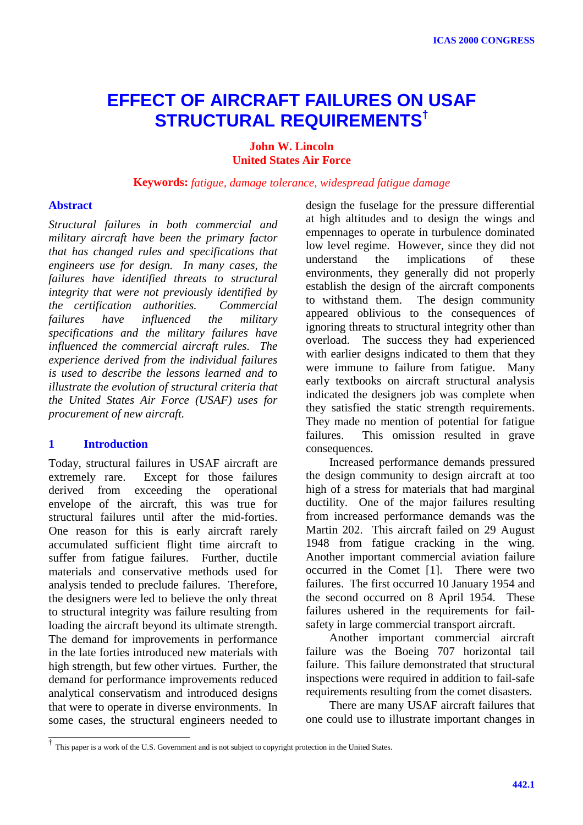# **EFFECT OF AIRCRAFT FAILURES ON USAF STRUCTURAL REQUIREMENTS†**

## **John W. Lincoln United States Air Force**

**Keywords:** *fatigue, damage tolerance, widespread fatigue damage*

#### **Abstract**

*Structural failures in both commercial and military aircraft have been the primary factor that has changed rules and specifications that engineers use for design. In many cases, the failures have identified threats to structural integrity that were not previously identified by the certification authorities. Commercial failures have influenced the military specifications and the military failures have influenced the commercial aircraft rules. The experience derived from the individual failures is used to describe the lessons learned and to illustrate the evolution of structural criteria that the United States Air Force (USAF) uses for procurement of new aircraft.*

## **1 Introduction**

Today, structural failures in USAF aircraft are extremely rare. Except for those failures derived from exceeding the operational envelope of the aircraft, this was true for structural failures until after the mid-forties. One reason for this is early aircraft rarely accumulated sufficient flight time aircraft to suffer from fatigue failures. Further, ductile materials and conservative methods used for analysis tended to preclude failures. Therefore, the designers were led to believe the only threat to structural integrity was failure resulting from loading the aircraft beyond its ultimate strength. The demand for improvements in performance in the late forties introduced new materials with high strength, but few other virtues. Further, the demand for performance improvements reduced analytical conservatism and introduced designs that were to operate in diverse environments. In some cases, the structural engineers needed to

design the fuselage for the pressure differential at high altitudes and to design the wings and empennages to operate in turbulence dominated low level regime. However, since they did not understand the implications of these environments, they generally did not properly establish the design of the aircraft components to withstand them. The design community appeared oblivious to the consequences of ignoring threats to structural integrity other than overload. The success they had experienced with earlier designs indicated to them that they were immune to failure from fatigue. Many early textbooks on aircraft structural analysis indicated the designers job was complete when they satisfied the static strength requirements. They made no mention of potential for fatigue failures. This omission resulted in grave consequences.

Increased performance demands pressured the design community to design aircraft at too high of a stress for materials that had marginal ductility. One of the major failures resulting from increased performance demands was the Martin 202. This aircraft failed on 29 August 1948 from fatigue cracking in the wing. Another important commercial aviation failure occurred in the Comet [1]. There were two failures. The first occurred 10 January 1954 and the second occurred on 8 April 1954. These failures ushered in the requirements for failsafety in large commercial transport aircraft.

Another important commercial aircraft failure was the Boeing 707 horizontal tail failure. This failure demonstrated that structural inspections were required in addition to fail-safe requirements resulting from the comet disasters.

There are many USAF aircraft failures that one could use to illustrate important changes in

 <sup>†</sup> This paper is a work of the U.S. Government and is not subject to copyright protection in the United States.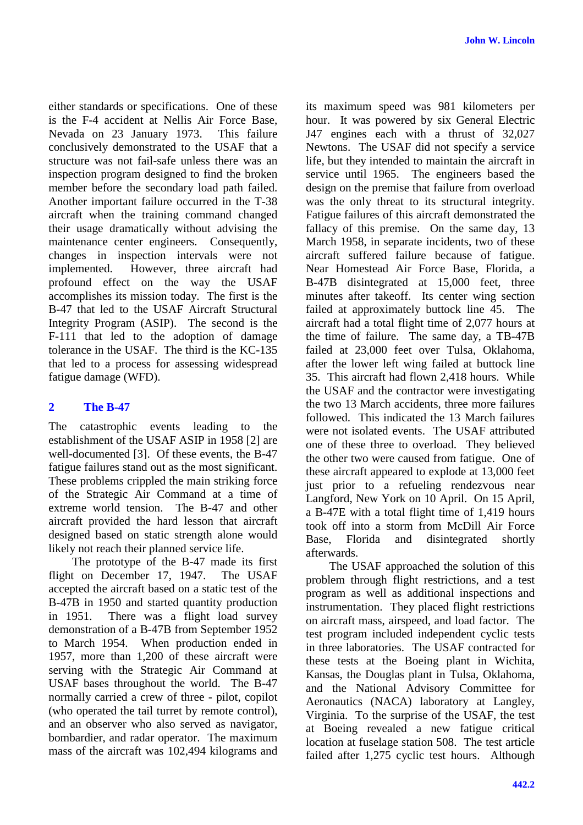either standards or specifications. One of these is the F-4 accident at Nellis Air Force Base, Nevada on 23 January 1973. This failure conclusively demonstrated to the USAF that a structure was not fail-safe unless there was an inspection program designed to find the broken member before the secondary load path failed. Another important failure occurred in the T-38 aircraft when the training command changed their usage dramatically without advising the maintenance center engineers. Consequently, changes in inspection intervals were not implemented. However, three aircraft had profound effect on the way the USAF accomplishes its mission today. The first is the B-47 that led to the USAF Aircraft Structural Integrity Program (ASIP). The second is the F-111 that led to the adoption of damage tolerance in the USAF. The third is the KC-135 that led to a process for assessing widespread fatigue damage (WFD).

## **2 The B-47**

The catastrophic events leading to the establishment of the USAF ASIP in 1958 [2] are well-documented [3]. Of these events, the B-47 fatigue failures stand out as the most significant. These problems crippled the main striking force of the Strategic Air Command at a time of extreme world tension. The B-47 and other aircraft provided the hard lesson that aircraft designed based on static strength alone would likely not reach their planned service life.

The prototype of the B-47 made its first flight on December 17, 1947. The USAF accepted the aircraft based on a static test of the B-47B in 1950 and started quantity production in 1951. There was a flight load survey demonstration of a B-47B from September 1952 to March 1954. When production ended in 1957, more than 1,200 of these aircraft were serving with the Strategic Air Command at USAF bases throughout the world. The B-47 normally carried a crew of three - pilot, copilot (who operated the tail turret by remote control), and an observer who also served as navigator, bombardier, and radar operator. The maximum mass of the aircraft was 102,494 kilograms and its maximum speed was 981 kilometers per hour. It was powered by six General Electric J47 engines each with a thrust of 32,027 Newtons. The USAF did not specify a service life, but they intended to maintain the aircraft in service until 1965. The engineers based the design on the premise that failure from overload was the only threat to its structural integrity. Fatigue failures of this aircraft demonstrated the fallacy of this premise. On the same day, 13 March 1958, in separate incidents, two of these aircraft suffered failure because of fatigue. Near Homestead Air Force Base, Florida, a B-47B disintegrated at 15,000 feet, three minutes after takeoff. Its center wing section failed at approximately buttock line 45. The aircraft had a total flight time of 2,077 hours at the time of failure. The same day, a TB-47B failed at 23,000 feet over Tulsa, Oklahoma, after the lower left wing failed at buttock line 35. This aircraft had flown 2,418 hours. While the USAF and the contractor were investigating the two 13 March accidents, three more failures followed. This indicated the 13 March failures were not isolated events. The USAF attributed one of these three to overload. They believed the other two were caused from fatigue. One of these aircraft appeared to explode at 13,000 feet just prior to a refueling rendezvous near Langford, New York on 10 April. On 15 April, a B-47E with a total flight time of 1,419 hours took off into a storm from McDill Air Force Base, Florida and disintegrated shortly afterwards.

The USAF approached the solution of this problem through flight restrictions, and a test program as well as additional inspections and instrumentation. They placed flight restrictions on aircraft mass, airspeed, and load factor. The test program included independent cyclic tests in three laboratories. The USAF contracted for these tests at the Boeing plant in Wichita, Kansas, the Douglas plant in Tulsa, Oklahoma, and the National Advisory Committee for Aeronautics (NACA) laboratory at Langley, Virginia. To the surprise of the USAF, the test at Boeing revealed a new fatigue critical location at fuselage station 508. The test article failed after 1,275 cyclic test hours. Although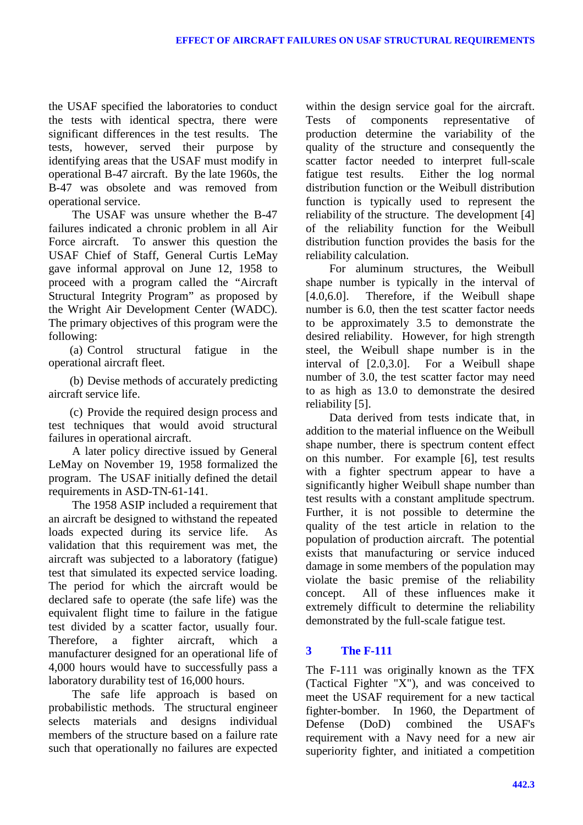the USAF specified the laboratories to conduct the tests with identical spectra, there were significant differences in the test results. The tests, however, served their purpose by identifying areas that the USAF must modify in operational B-47 aircraft. By the late 1960s, the B-47 was obsolete and was removed from operational service.

The USAF was unsure whether the B-47 failures indicated a chronic problem in all Air Force aircraft. To answer this question the USAF Chief of Staff, General Curtis LeMay gave informal approval on June 12, 1958 to proceed with a program called the "Aircraft Structural Integrity Program" as proposed by the Wright Air Development Center (WADC). The primary objectives of this program were the following:

(a) Control structural fatigue in the operational aircraft fleet.

(b) Devise methods of accurately predicting aircraft service life.

(c) Provide the required design process and test techniques that would avoid structural failures in operational aircraft.

A later policy directive issued by General LeMay on November 19, 1958 formalized the program. The USAF initially defined the detail requirements in ASD-TN-61-141.

The 1958 ASIP included a requirement that an aircraft be designed to withstand the repeated loads expected during its service life. As validation that this requirement was met, the aircraft was subjected to a laboratory (fatigue) test that simulated its expected service loading. The period for which the aircraft would be declared safe to operate (the safe life) was the equivalent flight time to failure in the fatigue test divided by a scatter factor, usually four. Therefore, a fighter aircraft, which a manufacturer designed for an operational life of 4,000 hours would have to successfully pass a laboratory durability test of 16,000 hours.

The safe life approach is based on probabilistic methods. The structural engineer selects materials and designs individual members of the structure based on a failure rate such that operationally no failures are expected within the design service goal for the aircraft. Tests of components representative of production determine the variability of the quality of the structure and consequently the scatter factor needed to interpret full-scale fatigue test results. Either the log normal distribution function or the Weibull distribution function is typically used to represent the reliability of the structure. The development [4] of the reliability function for the Weibull distribution function provides the basis for the reliability calculation.

For aluminum structures, the Weibull shape number is typically in the interval of [4.0,6.0]. Therefore, if the Weibull shape number is 6.0, then the test scatter factor needs to be approximately 3.5 to demonstrate the desired reliability. However, for high strength steel, the Weibull shape number is in the interval of [2.0,3.0]. For a Weibull shape number of 3.0, the test scatter factor may need to as high as 13.0 to demonstrate the desired reliability [5].

Data derived from tests indicate that, in addition to the material influence on the Weibull shape number, there is spectrum content effect on this number. For example [6], test results with a fighter spectrum appear to have a significantly higher Weibull shape number than test results with a constant amplitude spectrum. Further, it is not possible to determine the quality of the test article in relation to the population of production aircraft. The potential exists that manufacturing or service induced damage in some members of the population may violate the basic premise of the reliability concept. All of these influences make it extremely difficult to determine the reliability demonstrated by the full-scale fatigue test.

# **3 The F-111**

The F-111 was originally known as the TFX (Tactical Fighter "X"), and was conceived to meet the USAF requirement for a new tactical fighter-bomber. In 1960, the Department of Defense (DoD) combined the USAF's requirement with a Navy need for a new air superiority fighter, and initiated a competition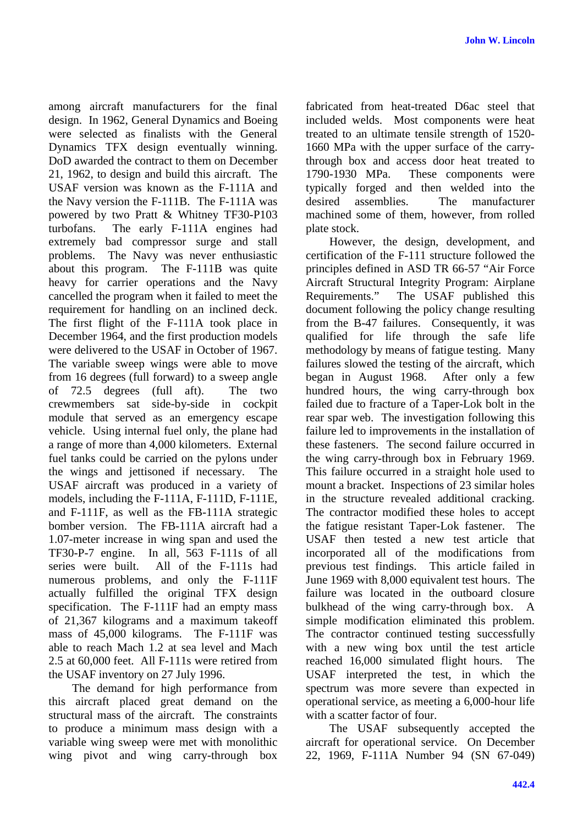among aircraft manufacturers for the final design. In 1962, General Dynamics and Boeing were selected as finalists with the General Dynamics TFX design eventually winning. DoD awarded the contract to them on December 21, 1962, to design and build this aircraft. The USAF version was known as the F-111A and the Navy version the F-111B. The F-111A was powered by two Pratt & Whitney TF30-P103 turbofans. The early F-111A engines had extremely bad compressor surge and stall problems. The Navy was never enthusiastic about this program. The F-111B was quite heavy for carrier operations and the Navy cancelled the program when it failed to meet the requirement for handling on an inclined deck. The first flight of the F-111A took place in December 1964, and the first production models were delivered to the USAF in October of 1967. The variable sweep wings were able to move from 16 degrees (full forward) to a sweep angle of 72.5 degrees (full aft). The two crewmembers sat side-by-side in cockpit module that served as an emergency escape vehicle. Using internal fuel only, the plane had a range of more than 4,000 kilometers. External fuel tanks could be carried on the pylons under the wings and jettisoned if necessary. The USAF aircraft was produced in a variety of models, including the F-111A, F-111D, F-111E, and F-111F, as well as the FB-111A strategic bomber version. The FB-111A aircraft had a 1.07-meter increase in wing span and used the TF30-P-7 engine. In all, 563 F-111s of all series were built. All of the F-111s had numerous problems, and only the F-111F actually fulfilled the original TFX design specification. The F-111F had an empty mass of 21,367 kilograms and a maximum takeoff mass of 45,000 kilograms. The F-111F was able to reach Mach 1.2 at sea level and Mach 2.5 at 60,000 feet. All F-111s were retired from the USAF inventory on 27 July 1996.

The demand for high performance from this aircraft placed great demand on the structural mass of the aircraft. The constraints to produce a minimum mass design with a variable wing sweep were met with monolithic wing pivot and wing carry-through box fabricated from heat-treated D6ac steel that included welds. Most components were heat treated to an ultimate tensile strength of 1520- 1660 MPa with the upper surface of the carrythrough box and access door heat treated to 1790-1930 MPa. These components were typically forged and then welded into the desired assemblies. The manufacturer machined some of them, however, from rolled plate stock.

However, the design, development, and certification of the F-111 structure followed the principles defined in ASD TR 66-57 "Air Force Aircraft Structural Integrity Program: Airplane Requirements." The USAF published this document following the policy change resulting from the B-47 failures. Consequently, it was qualified for life through the safe life methodology by means of fatigue testing. Many failures slowed the testing of the aircraft, which began in August 1968. After only a few hundred hours, the wing carry-through box failed due to fracture of a Taper-Lok bolt in the rear spar web. The investigation following this failure led to improvements in the installation of these fasteners. The second failure occurred in the wing carry-through box in February 1969. This failure occurred in a straight hole used to mount a bracket. Inspections of 23 similar holes in the structure revealed additional cracking. The contractor modified these holes to accept the fatigue resistant Taper-Lok fastener. The USAF then tested a new test article that incorporated all of the modifications from previous test findings. This article failed in June 1969 with 8,000 equivalent test hours. The failure was located in the outboard closure bulkhead of the wing carry-through box. A simple modification eliminated this problem. The contractor continued testing successfully with a new wing box until the test article reached 16,000 simulated flight hours. The USAF interpreted the test, in which the spectrum was more severe than expected in operational service, as meeting a 6,000-hour life with a scatter factor of four.

The USAF subsequently accepted the aircraft for operational service. On December 22, 1969, F-111A Number 94 (SN 67-049)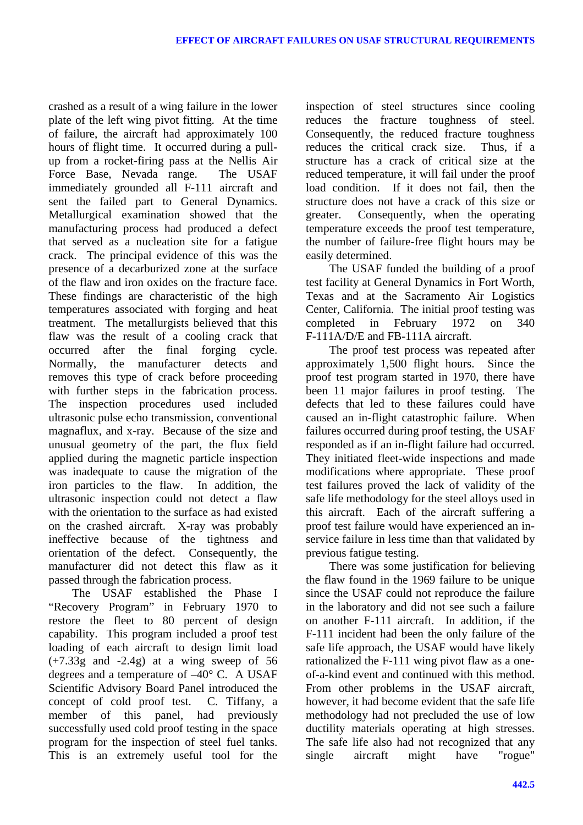crashed as a result of a wing failure in the lower plate of the left wing pivot fitting. At the time of failure, the aircraft had approximately 100 hours of flight time. It occurred during a pullup from a rocket-firing pass at the Nellis Air Force Base, Nevada range. The USAF immediately grounded all F-111 aircraft and sent the failed part to General Dynamics. Metallurgical examination showed that the manufacturing process had produced a defect that served as a nucleation site for a fatigue crack. The principal evidence of this was the presence of a decarburized zone at the surface of the flaw and iron oxides on the fracture face. These findings are characteristic of the high temperatures associated with forging and heat treatment. The metallurgists believed that this flaw was the result of a cooling crack that occurred after the final forging cycle. Normally, the manufacturer detects and removes this type of crack before proceeding with further steps in the fabrication process. The inspection procedures used included ultrasonic pulse echo transmission, conventional magnaflux, and x-ray. Because of the size and unusual geometry of the part, the flux field applied during the magnetic particle inspection was inadequate to cause the migration of the iron particles to the flaw. In addition, the ultrasonic inspection could not detect a flaw with the orientation to the surface as had existed on the crashed aircraft. X-ray was probably ineffective because of the tightness and orientation of the defect. Consequently, the manufacturer did not detect this flaw as it passed through the fabrication process.

The USAF established the Phase I "Recovery Program" in February 1970 to restore the fleet to 80 percent of design capability. This program included a proof test loading of each aircraft to design limit load  $(+7.33g)$  and  $-2.4g$  at a wing sweep of 56 degrees and a temperature of –40° C. A USAF Scientific Advisory Board Panel introduced the concept of cold proof test. C. Tiffany, a member of this panel, had previously successfully used cold proof testing in the space program for the inspection of steel fuel tanks. This is an extremely useful tool for the inspection of steel structures since cooling reduces the fracture toughness of steel. Consequently, the reduced fracture toughness reduces the critical crack size. Thus, if a structure has a crack of critical size at the reduced temperature, it will fail under the proof load condition. If it does not fail, then the structure does not have a crack of this size or greater. Consequently, when the operating temperature exceeds the proof test temperature, the number of failure-free flight hours may be easily determined.

The USAF funded the building of a proof test facility at General Dynamics in Fort Worth, Texas and at the Sacramento Air Logistics Center, California. The initial proof testing was completed in February 1972 on 340 F-111A/D/E and FB-111A aircraft.

The proof test process was repeated after approximately 1,500 flight hours. Since the proof test program started in 1970, there have been 11 major failures in proof testing. The defects that led to these failures could have caused an in-flight catastrophic failure. When failures occurred during proof testing, the USAF responded as if an in-flight failure had occurred. They initiated fleet-wide inspections and made modifications where appropriate. These proof test failures proved the lack of validity of the safe life methodology for the steel alloys used in this aircraft. Each of the aircraft suffering a proof test failure would have experienced an inservice failure in less time than that validated by previous fatigue testing.

There was some justification for believing the flaw found in the 1969 failure to be unique since the USAF could not reproduce the failure in the laboratory and did not see such a failure on another F-111 aircraft. In addition, if the F-111 incident had been the only failure of the safe life approach, the USAF would have likely rationalized the F-111 wing pivot flaw as a oneof-a-kind event and continued with this method. From other problems in the USAF aircraft, however, it had become evident that the safe life methodology had not precluded the use of low ductility materials operating at high stresses. The safe life also had not recognized that any single aircraft might have "rogue"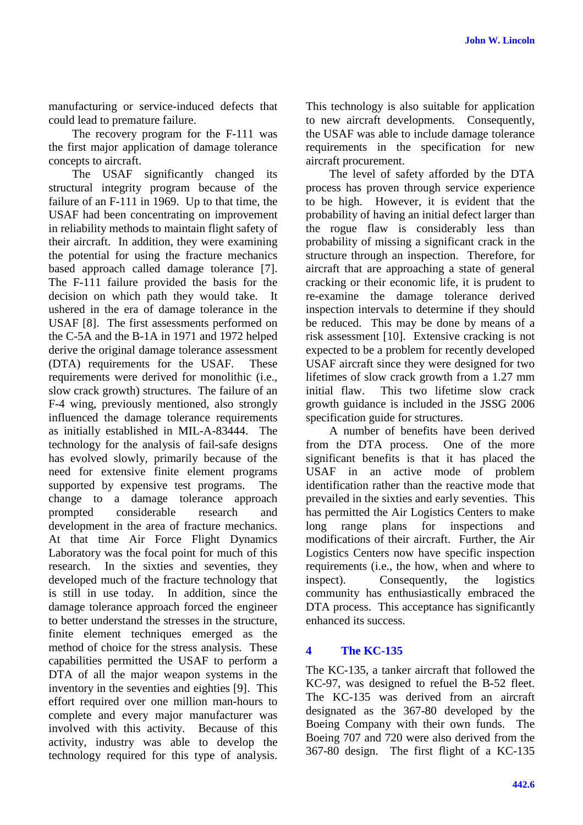manufacturing or service-induced defects that could lead to premature failure.

The recovery program for the F-111 was the first major application of damage tolerance concepts to aircraft.

The USAF significantly changed its structural integrity program because of the failure of an F-111 in 1969. Up to that time, the USAF had been concentrating on improvement in reliability methods to maintain flight safety of their aircraft. In addition, they were examining the potential for using the fracture mechanics based approach called damage tolerance [7]. The F-111 failure provided the basis for the decision on which path they would take. It ushered in the era of damage tolerance in the USAF [8]. The first assessments performed on the C-5A and the B-1A in 1971 and 1972 helped derive the original damage tolerance assessment (DTA) requirements for the USAF. These requirements were derived for monolithic (i.e., slow crack growth) structures. The failure of an F-4 wing, previously mentioned, also strongly influenced the damage tolerance requirements as initially established in MIL-A-83444. The technology for the analysis of fail-safe designs has evolved slowly, primarily because of the need for extensive finite element programs supported by expensive test programs. The change to a damage tolerance approach prompted considerable research and development in the area of fracture mechanics. At that time Air Force Flight Dynamics Laboratory was the focal point for much of this research. In the sixties and seventies, they developed much of the fracture technology that is still in use today. In addition, since the damage tolerance approach forced the engineer to better understand the stresses in the structure, finite element techniques emerged as the method of choice for the stress analysis. These capabilities permitted the USAF to perform a DTA of all the major weapon systems in the inventory in the seventies and eighties [9]. This effort required over one million man-hours to complete and every major manufacturer was involved with this activity. Because of this activity, industry was able to develop the technology required for this type of analysis.

This technology is also suitable for application to new aircraft developments. Consequently, the USAF was able to include damage tolerance requirements in the specification for new aircraft procurement.

The level of safety afforded by the DTA process has proven through service experience to be high. However, it is evident that the probability of having an initial defect larger than the rogue flaw is considerably less than probability of missing a significant crack in the structure through an inspection. Therefore, for aircraft that are approaching a state of general cracking or their economic life, it is prudent to re-examine the damage tolerance derived inspection intervals to determine if they should be reduced. This may be done by means of a risk assessment [10]. Extensive cracking is not expected to be a problem for recently developed USAF aircraft since they were designed for two lifetimes of slow crack growth from a 1.27 mm initial flaw. This two lifetime slow crack growth guidance is included in the JSSG 2006 specification guide for structures.

A number of benefits have been derived from the DTA process. One of the more significant benefits is that it has placed the USAF in an active mode of problem identification rather than the reactive mode that prevailed in the sixties and early seventies. This has permitted the Air Logistics Centers to make long range plans for inspections and modifications of their aircraft. Further, the Air Logistics Centers now have specific inspection requirements (i.e., the how, when and where to inspect). Consequently, the logistics community has enthusiastically embraced the DTA process. This acceptance has significantly enhanced its success.

## **4 The KC-135**

The KC-135, a tanker aircraft that followed the KC-97, was designed to refuel the B-52 fleet. The KC-135 was derived from an aircraft designated as the 367-80 developed by the Boeing Company with their own funds. The Boeing 707 and 720 were also derived from the 367-80 design. The first flight of a KC-135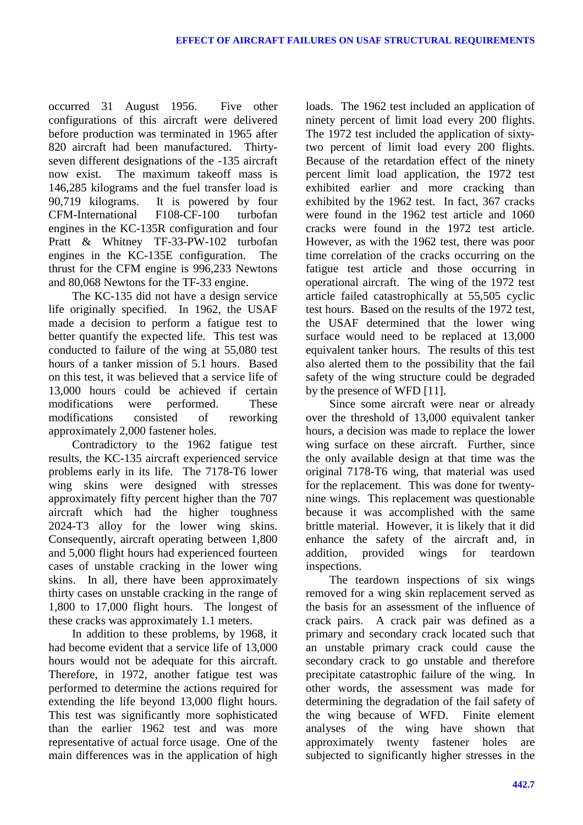occurred 31 August 1956. Five other configurations of this aircraft were delivered before production was terminated in 1965 after 820 aircraft had been manufactured. Thirtyseven different designations of the -135 aircraft now exist. The maximum takeoff mass is 146,285 kilograms and the fuel transfer load is 90,719 kilograms. It is powered by four CFM-International F108-CF-100 turbofan engines in the KC-135R configuration and four Pratt & Whitney TF-33-PW-102 turbofan engines in the KC-135E configuration. The thrust for the CFM engine is 996,233 Newtons and 80,068 Newtons for the TF-33 engine.

The KC-135 did not have a design service life originally specified. In 1962, the USAF made a decision to perform a fatigue test to better quantify the expected life. This test was conducted to failure of the wing at 55,080 test hours of a tanker mission of 5.1 hours. Based on this test, it was believed that a service life of 13,000 hours could be achieved if certain modifications were performed. These modifications consisted of reworking approximately 2,000 fastener holes.

Contradictory to the 1962 fatigue test results, the KC-135 aircraft experienced service problems early in its life. The 7178-T6 lower wing skins were designed with stresses approximately fifty percent higher than the 707 aircraft which had the higher toughness 2024-T3 alloy for the lower wing skins. Consequently, aircraft operating between 1,800 and 5,000 flight hours had experienced fourteen cases of unstable cracking in the lower wing skins. In all, there have been approximately thirty cases on unstable cracking in the range of 1,800 to 17,000 flight hours. The longest of these cracks was approximately 1.1 meters.

In addition to these problems, by 1968, it had become evident that a service life of 13,000 hours would not be adequate for this aircraft. Therefore, in 1972, another fatigue test was performed to determine the actions required for extending the life beyond 13,000 flight hours. This test was significantly more sophisticated than the earlier 1962 test and was more representative of actual force usage. One of the main differences was in the application of high loads. The 1962 test included an application of ninety percent of limit load every 200 flights. The 1972 test included the application of sixtytwo percent of limit load every 200 flights. Because of the retardation effect of the ninety percent limit load application, the 1972 test exhibited earlier and more cracking than exhibited by the 1962 test. In fact, 367 cracks were found in the 1962 test article and 1060 cracks were found in the 1972 test article. However, as with the 1962 test, there was poor time correlation of the cracks occurring on the fatigue test article and those occurring in operational aircraft. The wing of the 1972 test article failed catastrophically at 55,505 cyclic test hours. Based on the results of the 1972 test, the USAF determined that the lower wing surface would need to be replaced at 13,000 equivalent tanker hours. The results of this test also alerted them to the possibility that the fail safety of the wing structure could be degraded by the presence of WFD [11].

Since some aircraft were near or already over the threshold of 13,000 equivalent tanker hours, a decision was made to replace the lower wing surface on these aircraft. Further, since the only available design at that time was the original 7178-T6 wing, that material was used for the replacement. This was done for twentynine wings. This replacement was questionable because it was accomplished with the same brittle material. However, it is likely that it did enhance the safety of the aircraft and, in addition, provided wings for teardown inspections.

The teardown inspections of six wings removed for a wing skin replacement served as the basis for an assessment of the influence of crack pairs. A crack pair was defined as a primary and secondary crack located such that an unstable primary crack could cause the secondary crack to go unstable and therefore precipitate catastrophic failure of the wing. In other words, the assessment was made for determining the degradation of the fail safety of the wing because of WFD. Finite element analyses of the wing have shown that approximately twenty fastener holes are subjected to significantly higher stresses in the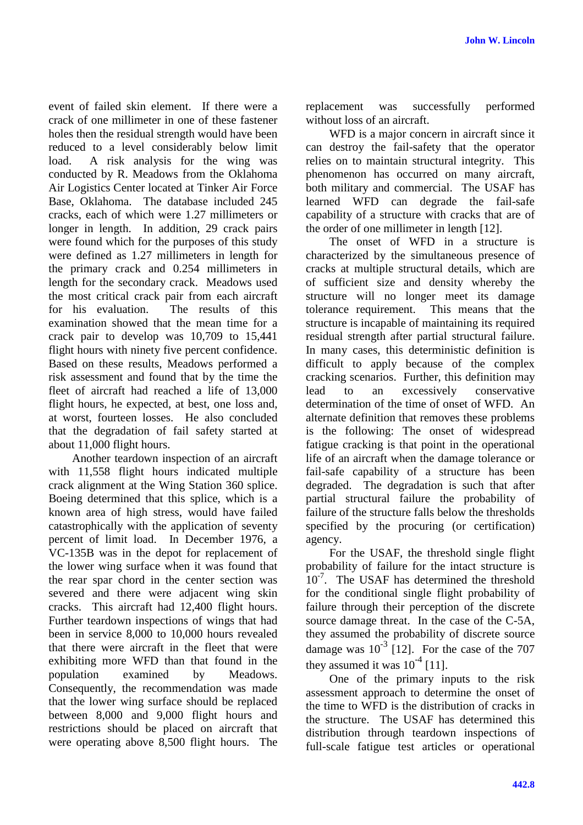event of failed skin element. If there were a crack of one millimeter in one of these fastener holes then the residual strength would have been reduced to a level considerably below limit load. A risk analysis for the wing was conducted by R. Meadows from the Oklahoma Air Logistics Center located at Tinker Air Force Base, Oklahoma. The database included 245 cracks, each of which were 1.27 millimeters or longer in length. In addition, 29 crack pairs were found which for the purposes of this study were defined as 1.27 millimeters in length for the primary crack and 0.254 millimeters in length for the secondary crack. Meadows used the most critical crack pair from each aircraft for his evaluation. The results of this examination showed that the mean time for a crack pair to develop was 10,709 to 15,441 flight hours with ninety five percent confidence. Based on these results, Meadows performed a risk assessment and found that by the time the fleet of aircraft had reached a life of 13,000 flight hours, he expected, at best, one loss and, at worst, fourteen losses. He also concluded that the degradation of fail safety started at about 11,000 flight hours.

Another teardown inspection of an aircraft with 11,558 flight hours indicated multiple crack alignment at the Wing Station 360 splice. Boeing determined that this splice, which is a known area of high stress, would have failed catastrophically with the application of seventy percent of limit load. In December 1976, a VC-135B was in the depot for replacement of the lower wing surface when it was found that the rear spar chord in the center section was severed and there were adjacent wing skin cracks. This aircraft had 12,400 flight hours. Further teardown inspections of wings that had been in service 8,000 to 10,000 hours revealed that there were aircraft in the fleet that were exhibiting more WFD than that found in the population examined by Meadows. Consequently, the recommendation was made that the lower wing surface should be replaced between 8,000 and 9,000 flight hours and restrictions should be placed on aircraft that were operating above 8,500 flight hours. The replacement was successfully performed without loss of an aircraft.

WFD is a major concern in aircraft since it can destroy the fail-safety that the operator relies on to maintain structural integrity. This phenomenon has occurred on many aircraft, both military and commercial. The USAF has learned WFD can degrade the fail-safe capability of a structure with cracks that are of the order of one millimeter in length [12].

The onset of WFD in a structure is characterized by the simultaneous presence of cracks at multiple structural details, which are of sufficient size and density whereby the structure will no longer meet its damage tolerance requirement. This means that the structure is incapable of maintaining its required residual strength after partial structural failure. In many cases, this deterministic definition is difficult to apply because of the complex cracking scenarios. Further, this definition may lead to an excessively conservative determination of the time of onset of WFD. An alternate definition that removes these problems is the following: The onset of widespread fatigue cracking is that point in the operational life of an aircraft when the damage tolerance or fail-safe capability of a structure has been degraded. The degradation is such that after partial structural failure the probability of failure of the structure falls below the thresholds specified by the procuring (or certification) agency.

For the USAF, the threshold single flight probability of failure for the intact structure is  $10^{-7}$ . The USAF has determined the threshold for the conditional single flight probability of failure through their perception of the discrete source damage threat. In the case of the C-5A, they assumed the probability of discrete source damage was  $10^{-3}$  [12]. For the case of the 707 they assumed it was  $10^{-4}$  [11].

One of the primary inputs to the risk assessment approach to determine the onset of the time to WFD is the distribution of cracks in the structure. The USAF has determined this distribution through teardown inspections of full-scale fatigue test articles or operational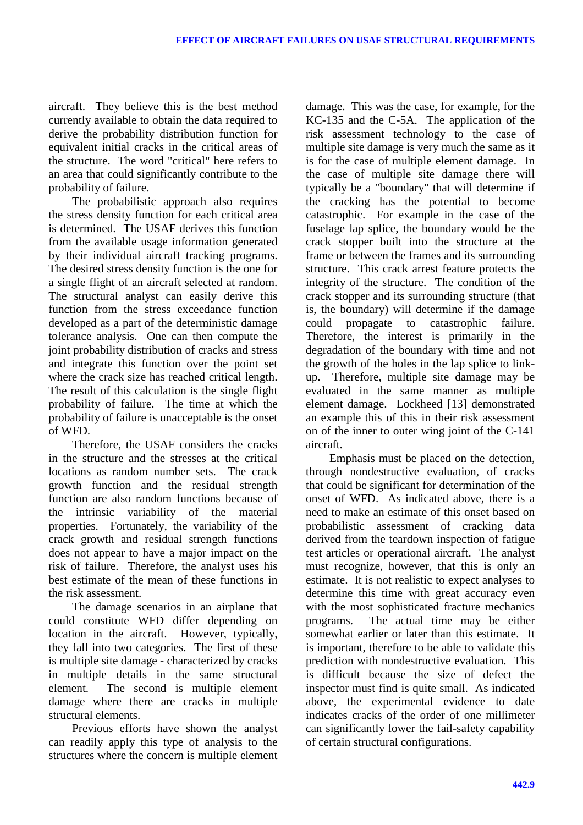aircraft. They believe this is the best method currently available to obtain the data required to derive the probability distribution function for equivalent initial cracks in the critical areas of the structure. The word "critical" here refers to an area that could significantly contribute to the probability of failure.

The probabilistic approach also requires the stress density function for each critical area is determined. The USAF derives this function from the available usage information generated by their individual aircraft tracking programs. The desired stress density function is the one for a single flight of an aircraft selected at random. The structural analyst can easily derive this function from the stress exceedance function developed as a part of the deterministic damage tolerance analysis. One can then compute the joint probability distribution of cracks and stress and integrate this function over the point set where the crack size has reached critical length. The result of this calculation is the single flight probability of failure. The time at which the probability of failure is unacceptable is the onset of WFD.

Therefore, the USAF considers the cracks in the structure and the stresses at the critical locations as random number sets. The crack growth function and the residual strength function are also random functions because of the intrinsic variability of the material properties. Fortunately, the variability of the crack growth and residual strength functions does not appear to have a major impact on the risk of failure. Therefore, the analyst uses his best estimate of the mean of these functions in the risk assessment.

The damage scenarios in an airplane that could constitute WFD differ depending on location in the aircraft. However, typically, they fall into two categories. The first of these is multiple site damage - characterized by cracks in multiple details in the same structural element. The second is multiple element damage where there are cracks in multiple structural elements.

Previous efforts have shown the analyst can readily apply this type of analysis to the structures where the concern is multiple element damage. This was the case, for example, for the KC-135 and the C-5A. The application of the risk assessment technology to the case of multiple site damage is very much the same as it is for the case of multiple element damage. In the case of multiple site damage there will typically be a "boundary" that will determine if the cracking has the potential to become catastrophic. For example in the case of the fuselage lap splice, the boundary would be the crack stopper built into the structure at the frame or between the frames and its surrounding structure. This crack arrest feature protects the integrity of the structure. The condition of the crack stopper and its surrounding structure (that is, the boundary) will determine if the damage could propagate to catastrophic failure. Therefore, the interest is primarily in the degradation of the boundary with time and not the growth of the holes in the lap splice to linkup. Therefore, multiple site damage may be evaluated in the same manner as multiple element damage. Lockheed [13] demonstrated an example this of this in their risk assessment on of the inner to outer wing joint of the C-141 aircraft.

Emphasis must be placed on the detection, through nondestructive evaluation, of cracks that could be significant for determination of the onset of WFD. As indicated above, there is a need to make an estimate of this onset based on probabilistic assessment of cracking data derived from the teardown inspection of fatigue test articles or operational aircraft. The analyst must recognize, however, that this is only an estimate. It is not realistic to expect analyses to determine this time with great accuracy even with the most sophisticated fracture mechanics programs. The actual time may be either somewhat earlier or later than this estimate. It is important, therefore to be able to validate this prediction with nondestructive evaluation. This is difficult because the size of defect the inspector must find is quite small. As indicated above, the experimental evidence to date indicates cracks of the order of one millimeter can significantly lower the fail-safety capability of certain structural configurations.